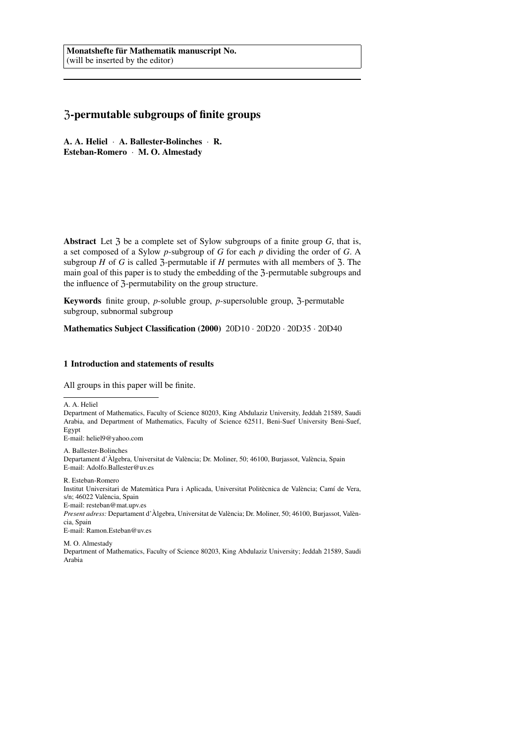# Z-permutable subgroups of finite groups

A. A. Heliel · A. Ballester-Bolinches · R. Esteban-Romero · M. O. Almestady

Abstract Let  $\zeta$  be a complete set of Sylow subgroups of a finite group  $G$ , that is, a set composed of a Sylow *p*-subgroup of *G* for each *p* dividing the order of *G*. A subgroup *H* of *G* is called  $\overline{3}$ -permutable if *H* permutes with all members of  $\overline{3}$ . The main goal of this paper is to study the embedding of the 3-permutable subgroups and the influence of 3-permutability on the group structure.

Keywords finite group, *p*-soluble group, *p*-supersoluble group, 3-permutable subgroup, subnormal subgroup

Mathematics Subject Classification (2000) 20D10 · 20D20 · 20D35 · 20D40

### 1 Introduction and statements of results

All groups in this paper will be finite.

A. A. Heliel

Department of Mathematics, Faculty of Science 80203, King Abdulaziz University, Jeddah 21589, Saudi Arabia, and Department of Mathematics, Faculty of Science 62511, Beni-Suef University Beni-Suef, Egypt

E-mail: heliel9@yahoo.com

A. Ballester-Bolinches

Departament d'Àlgebra, Universitat de València; Dr. Moliner, 50; 46100, Burjassot, València, Spain E-mail: Adolfo.Ballester@uv.es

R. Esteban-Romero

Institut Universitari de Matemàtica Pura i Aplicada, Universitat Politècnica de València; Camí de Vera, s/n; 46022 València, Spain

E-mail: resteban@mat.upv.es

*Present adress:* Departament d'Àlgebra, Universitat de València; Dr. Moliner, 50; 46100, Burjassot, València, Spain

E-mail: Ramon.Esteban@uv.es

M. O. Almestady Department of Mathematics, Faculty of Science 80203, King Abdulaziz University; Jeddah 21589, Saudi Arabia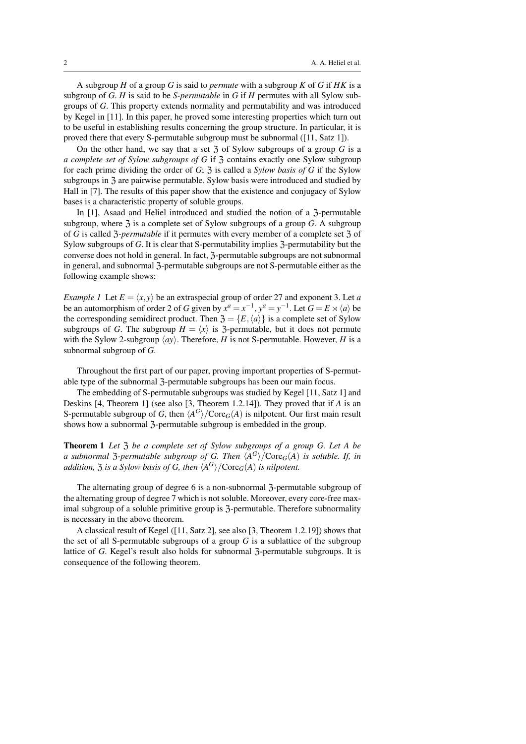A subgroup *H* of a group *G* is said to *permute* with a subgroup *K* of *G* if *HK* is a subgroup of *G*. *H* is said to be *S-permutable* in *G* if *H* permutes with all Sylow subgroups of *G*. This property extends normality and permutability and was introduced by Kegel in [11]. In this paper, he proved some interesting properties which turn out to be useful in establishing results concerning the group structure. In particular, it is proved there that every S-permutable subgroup must be subnormal ([11, Satz 1]).

On the other hand, we say that a set  $\overline{3}$  of Sylow subgroups of a group  $\overline{G}$  is a *a complete set of Sylow subgroups of G* if  $\overline{3}$  contains exactly one Sylow subgroup for each prime dividing the order of *G*; Z is called a *Sylow basis of G* if the Sylow subgroups in Z are pairwise permutable. Sylow basis were introduced and studied by Hall in [7]. The results of this paper show that the existence and conjugacy of Sylow bases is a characteristic property of soluble groups.

In [1], Asaad and Heliel introduced and studied the notion of a 3-permutable subgroup, where  $\mathfrak{Z}$  is a complete set of Sylow subgroups of a group  $G$ . A subgroup of *G* is called 3-*permutable* if it permutes with every member of a complete set 3 of Sylow subgroups of *G*. It is clear that S-permutability implies 3-permutability but the converse does not hold in general. In fact, Z-permutable subgroups are not subnormal in general, and subnormal 3-permutable subgroups are not S-permutable either as the following example shows:

*Example 1* Let  $E = \langle x, y \rangle$  be an extraspecial group of order 27 and exponent 3. Let *a* be an automorphism of order 2 of *G* given by  $x^a = x^{-1}$ ,  $y^a = y^{-1}$ . Let  $G = E \rtimes \langle a \rangle$  be the corresponding semidirect product. Then  $\mathfrak{Z} = \{E, \langle a \rangle\}$  is a complete set of Sylow subgroups of *G*. The subgroup  $H = \langle x \rangle$  is  $\overline{\gamma}$ -permutable, but it does not permute with the Sylow 2-subgroup  $\langle ay \rangle$ . Therefore, *H* is not S-permutable. However, *H* is a subnormal subgroup of *G*.

Throughout the first part of our paper, proving important properties of S-permutable type of the subnormal 3-permutable subgroups has been our main focus.

The embedding of S-permutable subgroups was studied by Kegel [11, Satz 1] and Deskins [4, Theorem 1] (see also [3, Theorem 1.2.14]). They proved that if *A* is an S-permutable subgroup of *G*, then  $\langle A^G \rangle$  / Core<sub>*G*</sub>(*A*) is nilpotent. Our first main result shows how a subnormal 3-permutable subgroup is embedded in the group.

Theorem 1 *Let* Z *be a complete set of Sylow subgroups of a group G. Let A be a* subnormal  $\mathfrak{Z}$ -permutable subgroup of G. Then  $\langle A^G \rangle$ /Core<sub>G</sub>(A) is soluble. If, in *addition,*  $\mathfrak{Z}$  *is a Sylow basis of G, then*  $\langle A^G \rangle$ /Core<sub>G</sub>(A) *is nilpotent.* 

The alternating group of degree 6 is a non-subnormal 3-permutable subgroup of the alternating group of degree 7 which is not soluble. Moreover, every core-free maximal subgroup of a soluble primitive group is  $\mathfrak{Z}$ -permutable. Therefore subnormality is necessary in the above theorem.

A classical result of Kegel ([11, Satz 2], see also [3, Theorem 1.2.19]) shows that the set of all S-permutable subgroups of a group  $G$  is a sublattice of the subgroup lattice of *G*. Kegel's result also holds for subnormal 3-permutable subgroups. It is consequence of the following theorem.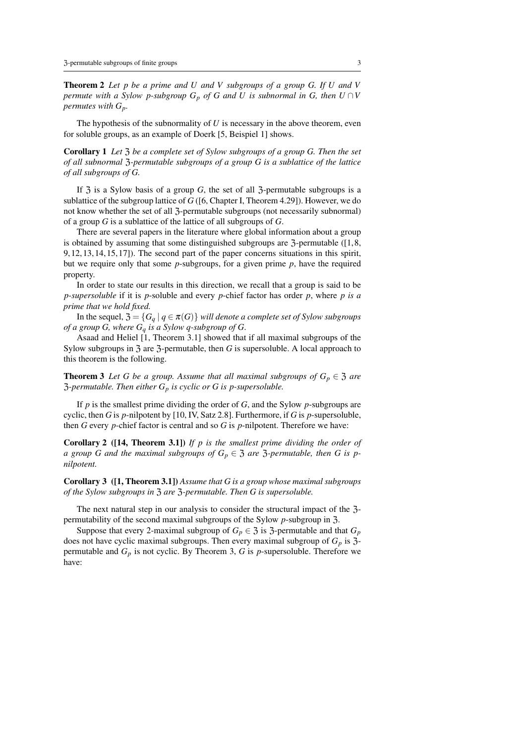Theorem 2 *Let p be a prime and U and V subgroups of a group G. If U and V permute with a Sylow p-subgroup*  $G_p$  *of*  $G$  *and*  $U$  *is subnormal in*  $G$ *, then*  $U \cap V$ *permutes with Gp.*

The hypothesis of the subnormality of *U* is necessary in the above theorem, even for soluble groups, as an example of Doerk [5, Beispiel 1] shows.

Corollary 1 *Let* Z *be a complete set of Sylow subgroups of a group G. Then the set of all subnormal* Z*-permutable subgroups of a group G is a sublattice of the lattice of all subgroups of G.*

If  $\overline{3}$  is a Sylow basis of a group *G*, the set of all  $\overline{3}$ -permutable subgroups is a sublattice of the subgroup lattice of *G* ([6, Chapter I, Theorem 4.29]). However, we do not know whether the set of all 3-permutable subgroups (not necessarily subnormal) of a group *G* is a sublattice of the lattice of all subgroups of *G*.

There are several papers in the literature where global information about a group is obtained by assuming that some distinguished subgroups are  $\tilde{\text{3}}$ -permutable ([1,8, 9, 12, 13, 14, 15, 17]). The second part of the paper concerns situations in this spirit, but we require only that some *p*-subgroups, for a given prime *p*, have the required property.

In order to state our results in this direction, we recall that a group is said to be *p-supersoluble* if it is *p*-soluble and every *p*-chief factor has order *p*, where *p is a prime that we hold fixed.*

In the sequel,  $\mathfrak{Z} = \{G_a \mid q \in \pi(G)\}\$  *will denote a complete set of Sylow subgroups of a group G, where G<sup>q</sup> is a Sylow q-subgroup of G*.

Asaad and Heliel [1, Theorem 3.1] showed that if all maximal subgroups of the Sylow subgroups in 3 are 3-permutable, then *G* is supersoluble. A local approach to this theorem is the following.

**Theorem 3** Let G be a group. Assume that all maximal subgroups of  $G_p \in \mathfrak{Z}$  are Z*-permutable. Then either G<sup>p</sup> is cyclic or G is p-supersoluble.*

If *p* is the smallest prime dividing the order of *G*, and the Sylow *p*-subgroups are cyclic, then *G* is *p*-nilpotent by [10, IV, Satz 2.8]. Furthermore, if *G* is *p*-supersoluble, then *G* every *p*-chief factor is central and so *G* is *p*-nilpotent. Therefore we have:

Corollary 2 ([14, Theorem 3.1]) *If p is the smallest prime dividing the order of a* group G and the maximal subgroups of  $G_p \in \mathfrak{Z}$  are  $\mathfrak{Z}$ -permutable, then G is p*nilpotent.*

Corollary 3 ([1, Theorem 3.1]) *Assume that G is a group whose maximal subgroups of the Sylow subgroups in* Z *are* Z*-permutable. Then G is supersoluble.*

The next natural step in our analysis to consider the structural impact of the 3permutability of the second maximal subgroups of the Sylow *p*-subgroup in Z.

Suppose that every 2-maximal subgroup of  $G_p \in \mathfrak{Z}$  is  $\mathfrak{Z}$ -permutable and that  $G_p$ does not have cyclic maximal subgroups. Then every maximal subgroup of  $G_p$  is  $\mathfrak{Z}$ permutable and  $G_p$  is not cyclic. By Theorem 3,  $G$  is  $p$ -supersoluble. Therefore we have: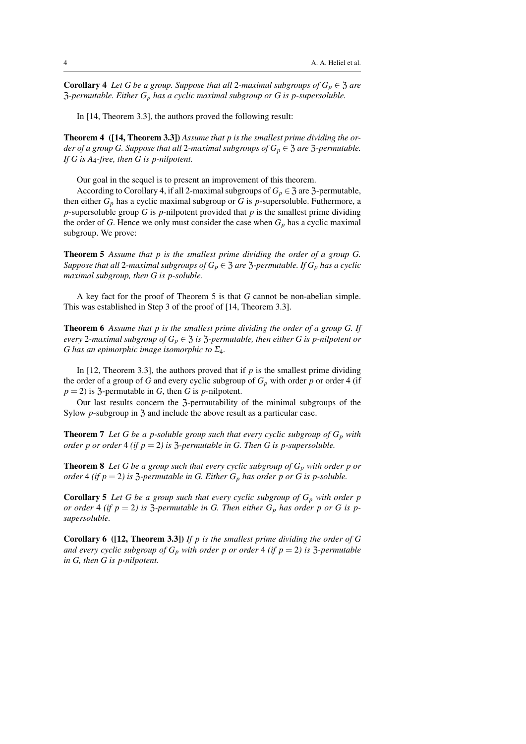**Corollary 4** *Let G be a group. Suppose that all* 2*-maximal subgroups of*  $G_p \in \mathfrak{Z}$  *are* Z*-permutable. Either G<sup>p</sup> has a cyclic maximal subgroup or G is p-supersoluble.*

In [14, Theorem 3.3], the authors proved the following result:

Theorem 4 ([14, Theorem 3.3]) *Assume that p is the smallest prime dividing the order of a group G. Suppose that all* 2-maximal subgroups of  $G_p \in \mathfrak{Z}$  are  $\mathfrak{Z}$ -permutable. *If G is A*4*-free, then G is p-nilpotent.*

Our goal in the sequel is to present an improvement of this theorem.

According to Corollary 4, if all 2-maximal subgroups of  $G_p \in \mathfrak{Z}$  are  $\mathfrak{Z}$ -permutable, then either *G<sup>p</sup>* has a cyclic maximal subgroup or *G* is *p*-supersoluble. Futhermore, a *p*-supersoluble group *G* is *p*-nilpotent provided that *p* is the smallest prime dividing the order of *G*. Hence we only must consider the case when  $G_p$  has a cyclic maximal subgroup. We prove:

Theorem 5 *Assume that p is the smallest prime dividing the order of a group G. Suppose that all* 2*-maximal subgroups of*  $G_p \in \mathfrak{Z}$  *are*  $\mathfrak{Z}$ *-permutable. If*  $G_p$  *has a cyclic maximal subgroup, then G is p-soluble.*

A key fact for the proof of Theorem 5 is that *G* cannot be non-abelian simple. This was established in Step 3 of the proof of [14, Theorem 3.3].

Theorem 6 *Assume that p is the smallest prime dividing the order of a group G. If every* 2-maximal subgroup of  $G_p \in \mathfrak{Z}$  is  $\mathfrak{Z}$ -permutable, then either G is p-nilpotent or *G has an epimorphic image isomorphic to* Σ4*.*

In  $[12,$  Theorem 3.3], the authors proved that if  $p$  is the smallest prime dividing the order of a group of *G* and every cyclic subgroup of  $G_p$  with order *p* or order 4 (if  $p = 2$ ) is 3-permutable in *G*, then *G* is *p*-nilpotent.

Our last results concern the 3-permutability of the minimal subgroups of the Sylow *p*-subgroup in 3 and include the above result as a particular case.

**Theorem 7** Let G be a p-soluble group such that every cyclic subgroup of  $G_p$  with *order p or order* 4 *(if p* = 2*)* is  $\overline{3}$ -permutable in G. Then G is p-supersoluble.

Theorem 8 *Let G be a group such that every cyclic subgroup of G<sup>p</sup> with order p or order* 4 (*if*  $p = 2$ ) *is* 3-*permutable in G. Either G<sub><i>p*</sub> has order *p* or *G is p*-*soluble.* 

Corollary 5 *Let G be a group such that every cyclic subgroup of G<sup>p</sup> with order p or order* 4 (*if*  $p = 2$ ) *is* 3-permutable *in* G. Then either  $G_p$  *has order* p *or* G *is* p*supersoluble.*

Corollary 6 ([12, Theorem 3.3]) *If p is the smallest prime dividing the order of G and every cyclic subgroup of*  $G_p$  *with order p or order* 4 *(if p = 2) is*  $\overline{3}$ -*permutable in G, then G is p-nilpotent.*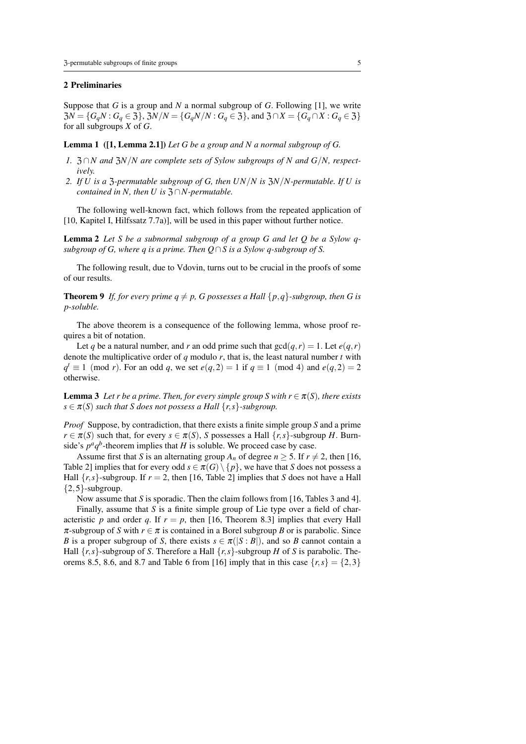# 2 Preliminaries

Suppose that *G* is a group and *N* a normal subgroup of *G*. Following [1], we write  $Z_0X = \{G_qN : G_q \in \mathcal{Z}\}\$ ,  $Z_0X/N = \{G_qN/N : G_q \in \mathcal{Z}\}\$ , and  $Z_0 \cap X = \{G_q \cap X : G_q \in \mathcal{Z}\}\$ for all subgroups *X* of *G*.

Lemma 1 ([1, Lemma 2.1]) *Let G be a group and N a normal subgroup of G.*

- *1.*  $\frac{1}{2} \cap N$  and  $\frac{1}{2}N/N$  are complete sets of Sylow subgroups of N and G/N, respect*ively.*
- *2. If U is a* Z*-permutable subgroup of G, then UN*/*N is* Z*N*/*N-permutable. If U is contained in N, then U is*  $\mathfrak{Z} \cap N$ -permutable.

The following well-known fact, which follows from the repeated application of [10, Kapitel I, Hilfssatz 7.7a)], will be used in this paper without further notice.

Lemma 2 *Let S be a subnormal subgroup of a group G and let Q be a Sylow qsubgroup of G, where q is a prime. Then Q*∩*S is a Sylow q-subgroup of S.*

The following result, due to Vdovin, turns out to be crucial in the proofs of some of our results.

**Theorem 9** If, for every prime  $q \neq p$ , G possesses a Hall { $p$ , $q$ }-subgroup, then G is *p-soluble.*

The above theorem is a consequence of the following lemma, whose proof requires a bit of notation.

Let *q* be a natural number, and *r* an odd prime such that  $gcd(q, r) = 1$ . Let  $e(q, r)$ denote the multiplicative order of *q* modulo *r*, that is, the least natural number *t* with  $q^t \equiv 1 \pmod{r}$ . For an odd *q*, we set  $e(q, 2) = 1$  if  $q \equiv 1 \pmod{4}$  and  $e(q, 2) = 2$ otherwise.

**Lemma 3** Let r be a prime. Then, for every simple group S with  $r \in \pi(S)$ , there exists  $s \in \pi(S)$  *such that S* does not possess a Hall  $\{r, s\}$ -subgroup.

*Proof* Suppose, by contradiction, that there exists a finite simple group *S* and a prime  $r \in \pi(S)$  such that, for every  $s \in \pi(S)$ , *S* possesses a Hall  $\{r, s\}$ -subgroup *H*. Burnside's  $p^a q^b$ -theorem implies that *H* is soluble. We proceed case by case.

Assume first that *S* is an alternating group  $A_n$  of degree  $n > 5$ . If  $r \neq 2$ , then [16, Table 2] implies that for every odd  $s \in \pi(G) \setminus \{p\}$ , we have that *S* does not possess a Hall  $\{r, s\}$ -subgroup. If  $r = 2$ , then [16, Table 2] implies that *S* does not have a Hall  ${2,5}$ -subgroup.

Now assume that *S* is sporadic. Then the claim follows from [16, Tables 3 and 4].

Finally, assume that *S* is a finite simple group of Lie type over a field of characteristic *p* and order *q*. If  $r = p$ , then [16, Theorem 8.3] implies that every Hall  $\pi$ -subgroup of *S* with  $r \in \pi$  is contained in a Borel subgroup *B* or is parabolic. Since *B* is a proper subgroup of *S*, there exists  $s \in \pi(|S : B|)$ , and so *B* cannot contain a Hall  $\{r, s\}$ -subgroup of *S*. Therefore a Hall  $\{r, s\}$ -subgroup *H* of *S* is parabolic. Theorems 8.5, 8.6, and 8.7 and Table 6 from [16] imply that in this case  $\{r, s\} = \{2, 3\}$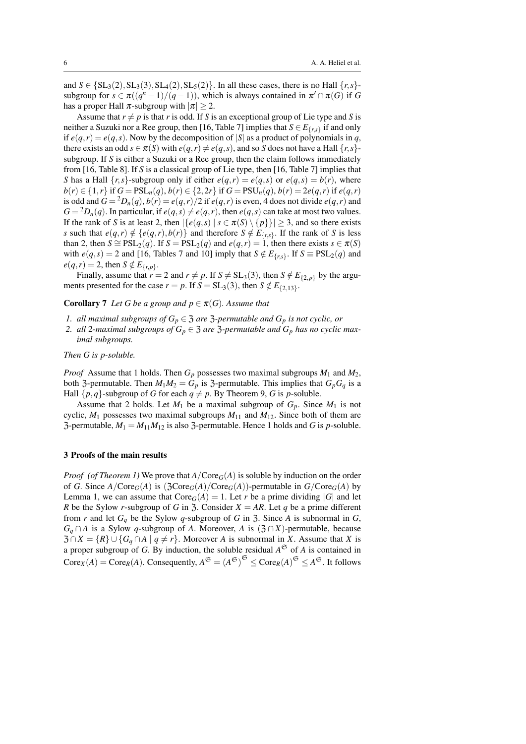and  $S \in \{SL_3(2), SL_3(3), SL_4(2), SL_5(2)\}$ . In all these cases, there is no Hall  $\{r, s\}$ subgroup for  $s \in \pi((q^n-1)/(q-1))$ , which is always contained in  $\pi' \cap \pi(G)$  if G has a proper Hall  $\pi$ -subgroup with  $|\pi| \geq 2$ .

Assume that  $r \neq p$  is that *r* is odd. If *S* is an exceptional group of Lie type and *S* is neither a Suzuki nor a Ree group, then [16, Table 7] implies that  $S \in E_{\{r,s\}}$  if and only if  $e(q,r) = e(q,s)$ . Now by the decomposition of  $|S|$  as a product of polynomials in *q*, there exists an odd  $s \in \pi(S)$  with  $e(q, r) \neq e(q, s)$ , and so *S* does not have a Hall  $\{r, s\}$ subgroup. If *S* is either a Suzuki or a Ree group, then the claim follows immediately from [16, Table 8]. If *S* is a classical group of Lie type, then [16, Table 7] implies that *S* has a Hall  $\{r, s\}$ -subgroup only if either  $e(q, r) = e(q, s)$  or  $e(q, s) = b(r)$ , where  $b(r) \in \{1, r\}$  if  $G = \text{PSL}_n(q), b(r) \in \{2, 2r\}$  if  $G = \text{PSU}_n(q), b(r) = 2e(q, r)$  if  $e(q, r)$ is odd and  $G = {}^2D_n(q)$ ,  $b(r) = e(q, r)/2$  if  $e(q, r)$  is even, 4 does not divide  $e(q, r)$  and  $G = {}^{2}D_{n}(q)$ . In particular, if  $e(q, s) \neq e(q, r)$ , then  $e(q, s)$  can take at most two values. If the rank of *S* is at least 2, then  $|\{e(q, s) | s \in \pi(S) \setminus \{p\}\}| \geq 3$ , and so there exists *s* such that  $e(q,r) \notin \{e(q,r), b(r)\}$  and therefore  $S \notin E_{\{r,s\}}$ . If the rank of *S* is less than 2, then  $S \cong \text{PSL}_2(q)$ . If  $S = \text{PSL}_2(q)$  and  $e(q, r) = 1$ , then there exists  $s \in \pi(S)$ with  $e(q, s) = 2$  and [16, Tables 7 and 10] imply that  $S \notin E_{\{r, s\}}$ . If  $S \equiv \text{PSL}_2(q)$  and  $e(q, r) = 2$ , then  $S \notin E_{\{r, p\}}$ .

Finally, assume that  $r = 2$  and  $r \neq p$ . If  $S \neq SL_3(3)$ , then  $S \notin E_{\{2, p\}}$  by the arguments presented for the case  $r = p$ . If  $S = SL_3(3)$ , then  $S \notin E_{\{2,13\}}$ .

# **Corollary 7** *Let G be a group and*  $p \in \pi(G)$ *. Assume that*

- *1. all maximal subgroups of*  $G_p \in \mathfrak{Z}$  *are*  $\mathfrak{Z}$ *-permutable and*  $G_p$  *is not cyclic, or*
- 2. *all* 2*-maximal subgroups of*  $G_p \in \mathfrak{Z}$  *are*  $\mathfrak{Z}$ *-permutable and*  $G_p$  *has no cyclic maximal subgroups.*

#### *Then G is p-soluble.*

*Proof* Assume that 1 holds. Then  $G_p$  possesses two maximal subgroups  $M_1$  and  $M_2$ , both 3-permutable. Then  $M_1M_2 = G_p$  is 3-permutable. This implies that  $G_pG_q$  is a Hall  $\{p,q\}$ -subgroup of *G* for each  $q \neq p$ . By Theorem 9, *G* is *p*-soluble.

Assume that 2 holds. Let  $M_1$  be a maximal subgroup of  $G_p$ . Since  $M_1$  is not cyclic,  $M_1$  possesses two maximal subgroups  $M_{11}$  and  $M_{12}$ . Since both of them are 3-permutable,  $M_1 = M_{11}M_{12}$  is also 3-permutable. Hence 1 holds and *G* is *p*-soluble.

#### 3 Proofs of the main results

*Proof* (of Theorem 1) We prove that  $A/Core<sub>G</sub>(A)$  is soluble by induction on the order of *G*. Since  $A/Core_G(A)$  is  $(\mathfrak{Z}Core_G(A)/Core_G(A))$ -permutable in  $G/Core_G(A)$  by Lemma 1, we can assume that  $\text{Core}_G(A) = 1$ . Let *r* be a prime dividing |*G*| and let *R* be the Sylow *r*-subgroup of *G* in 3. Consider  $X = AR$ . Let *q* be a prime different from *r* and let  $G_q$  be the Sylow *q*-subgroup of *G* in 3. Since *A* is subnormal in *G*, *G*<sup> $q$ </sup> ∩ *A* is a Sylow *q*-subgroup of *A*. Moreover, *A* is (3 ∩ *X*)-permutable, because  $\overline{\mathfrak{Z}} \cap X = \{R\} \cup \{G_q \cap A \mid q \neq r\}$ . Moreover *A* is subnormal in *X*. Assume that *X* is a proper subgroup of *G*. By induction, the soluble residual  $A^{\mathfrak{S}}$  of *A* is contained in  $\text{Core}_X(A) = \text{Core}_R(A)$ . Consequently,  $A^{\mathfrak{S}} = (A^{\mathfrak{S}})^{\mathfrak{S}} \leq \text{Core}_R(A)^{\mathfrak{S}} \leq A^{\mathfrak{S}}$ . It follows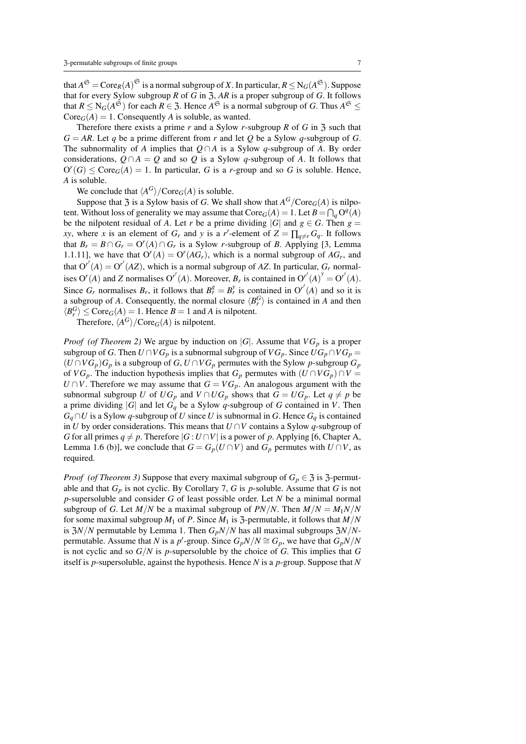that  $A^{\mathfrak{S}} = \text{Core}_R(A)^{\mathfrak{S}}$  is a normal subgroup of *X*. In particular,  $R \le N_G(A^{\mathfrak{S}})$ . Suppose that for every Sylow subgroup *R* of *G* in  $\overline{3}$ , *AR* is a proper subgroup of *G*. It follows that  $R \le N_G(A^{\mathfrak{S}})$  for each  $R \in \mathfrak{Z}$ . Hence  $A^{\mathfrak{S}}$  is a normal subgroup of *G*. Thus  $A^{\mathfrak{S}} \le$  $Core_G(A) = 1$ . Consequently *A* is soluble, as wanted.

Therefore there exists a prime  $r$  and a Sylow  $r$ -subgroup  $R$  of  $G$  in  $\mathfrak{Z}$  such that  $G = AR$ . Let *q* be a prime different from *r* and let *Q* be a Sylow *q*-subgroup of *G*. The subnormality of *A* implies that  $Q \cap A$  is a Sylow *q*-subgroup of *A*. By order considerations,  $Q \cap A = Q$  and so  $Q$  is a Sylow *q*-subgroup of *A*. It follows that  $O^{r}(G) \leq \text{Core}_G(A) = 1$ . In particular, *G* is a *r*-group and so *G* is soluble. Hence, *A* is soluble.

We conclude that  $\langle A^G \rangle$  / Core<sub>*G*</sub>(*A*) is soluble.

Suppose that  $\mathfrak{Z}$  is a Sylow basis of *G*. We shall show that  $A^G$ /Core<sub>*G*</sub>(*A*) is nilpotent. Without loss of generality we may assume that  $\text{Core}_G(A) = 1$ . Let  $B = \bigcap_q O^q(A)$ be the nilpotent residual of *A*. Let *r* be a prime dividing  $|G|$  and  $g \in G$ . Then  $g =$ *xy*, where *x* is an element of  $G_r$  and *y* is a *r*'-element of  $Z = \prod_{q \neq r} G_q$ . It follows that  $B_r = B \cap G_r = O^r(A) \cap G_r$  is a Sylow *r*-subgroup of *B*. Applying [3, Lemma] 1.1.11], we have that  $O^{r}(A) = O^{r}(AG_{r})$ , which is a normal subgroup of  $AG_{r}$ , and that  $O^{r'}(A) = O^{r'}(AZ)$ , which is a normal subgroup of AZ. In particular,  $G_r$  normalises  $O^r(A)$  and *Z* normalises  $O^{r'}(A)$ . Moreover,  $B_r$  is contained in  $O^{r'}(A)^y = O^{r'}(A)$ . Since  $G_r$  normalises  $B_r$ , it follows that  $B_r^g = B_r^y$  is contained in  $O^{r'}(A)$  and so it is a subgroup of *A*. Consequently, the normal closure  $\langle B_r^G \rangle$  is contained in *A* and then  $\langle B_r^G \rangle \leq \text{Core}_G(A) = 1$ . Hence  $B = 1$  and *A* is nilpotent.

Therefore,  $\langle A^G \rangle$  / Core<sub>*G*</sub>(*A*) is nilpotent.

*Proof* (of Theorem 2) We argue by induction on  $|G|$ . Assume that  $VG_p$  is a proper subgroup of *G*. Then  $U \cap VG_p$  is a subnormal subgroup of  $VG_p$ . Since  $UG_p \cap VG_p =$  $(U \cap VG_p)G_p$  is a subgroup of *G*,  $U \cap VG_p$  permutes with the Sylow *p*-subgroup  $G_p$ of *VG*<sub>*p*</sub>. The induction hypothesis implies that  $G_p$  permutes with  $(U \cap VG_p) \cap V =$ *U* ∩ *V*. Therefore we may assume that  $G = VG_p$ . An analogous argument with the subnormal subgroup *U* of  $UG_p$  and  $V \cap UG_p$  shows that  $G = UG_p$ . Let  $q \neq p$  be a prime dividing  $|G|$  and let  $G_q$  be a Sylow  $q$ -subgroup of  $G$  contained in  $V$ . Then  $G_q \cap U$  is a Sylow *q*-subgroup of *U* since *U* is subnormal in *G*. Hence  $G_q$  is contained in *U* by order considerations. This means that *U* ∩*V* contains a Sylow *q*-subgroup of *G* for all primes  $q \neq p$ . Therefore  $|G: U \cap V|$  is a power of *p*. Applying [6, Chapter A, Lemma 1.6 (b)], we conclude that  $G = G_p(U \cap V)$  and  $G_p$  permutes with  $U \cap V$ , as required.

*Proof* (of Theorem 3) Suppose that every maximal subgroup of  $G_p \in \mathfrak{Z}$  is  $\mathfrak{Z}$ -permutable and that  $G_p$  is not cyclic. By Corollary 7,  $G$  is  $p$ -soluble. Assume that  $G$  is not *p*-supersoluble and consider *G* of least possible order. Let *N* be a minimal normal subgroup of *G*. Let *M*/*N* be a maximal subgroup of *PN*/*N*. Then  $M/N = M_1N/N$ for some maximal subgroup  $M_1$  of P. Since  $M_1$  is  $\overline{3}$ -permutable, it follows that  $M/N$ is  $3N/N$  permutable by Lemma 1. Then  $G_pN/N$  has all maximal subgroups  $3N/N$ permutable. Assume that *N* is a *p*'-group. Since  $G_pN/N \cong G_p$ , we have that  $G_pN/N$ is not cyclic and so *G*/*N* is *p*-supersoluble by the choice of *G*. This implies that *G* itself is *p*-supersoluble, against the hypothesis. Hence *N* is a *p*-group. Suppose that *N*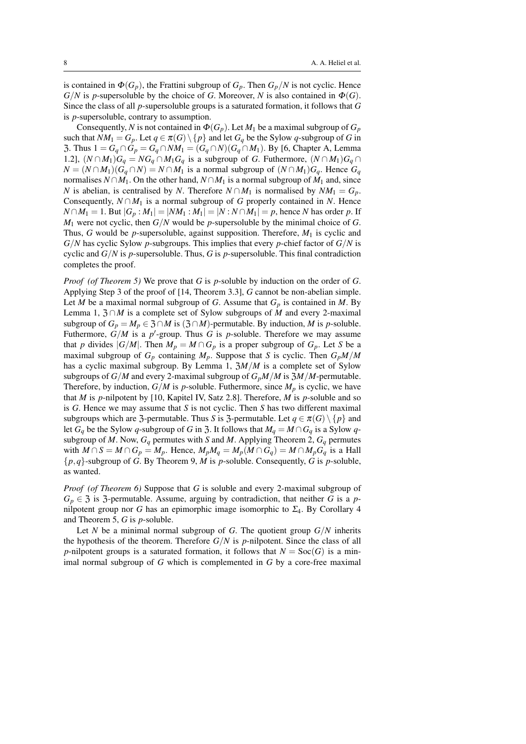is contained in  $\Phi(G_p)$ , the Frattini subgroup of  $G_p$ . Then  $G_p/N$  is not cyclic. Hence  $G/N$  is *p*-supersoluble by the choice of *G*. Moreover, *N* is also contained in  $\Phi(G)$ . Since the class of all *p*-supersoluble groups is a saturated formation, it follows that *G* is *p*-supersoluble, contrary to assumption.

Consequently, *N* is not contained in  $\Phi(G_p)$ . Let  $M_1$  be a maximal subgroup of  $G_p$ such that  $NM_1 = G_p$ . Let  $q \in \pi(G) \setminus \{p\}$  and let  $G_q$  be the Sylow  $q$ -subgroup of *G* in 3. Thus 1 =  $G_q \cap G_p = G_q \cap NM_1 = (G_q \cap N)(G_q \cap M_1)$ . By [6, Chapter A, Lemma 1.2],  $(N \cap M_1)G_q = NG_q \cap M_1G_q$  is a subgroup of *G*. Futhermore,  $(N \cap M_1)G_q \cap M_2$  $N = (N \cap M_1)(G_q \cap N) = N \cap M_1$  is a normal subgroup of  $(N \cap M_1)G_q$ . Hence  $G_q$ normalises *N* ∩*M*<sub>1</sub>. On the other hand, *N* ∩ *M*<sub>1</sub> is a normal subgroup of *M*<sub>1</sub> and, since *N* is abelian, is centralised by *N*. Therefore  $N \cap M_1$  is normalised by  $NM_1 = G_p$ . Consequently,  $N \cap M_1$  is a normal subgroup of *G* properly contained in *N*. Hence *N* ∩*M*<sub>1</sub> = 1. But  $|G_p : M_1| = |NM_1 : M_1| = |N : N ∩ M_1| = p$ , hence *N* has order *p*. If *M*<sup>1</sup> were not cyclic, then *G*/*N* would be *p*-supersoluble by the minimal choice of *G*. Thus, *G* would be *p*-supersoluble, against supposition. Therefore, *M*<sup>1</sup> is cyclic and *G*/*N* has cyclic Sylow *p*-subgroups. This implies that every *p*-chief factor of *G*/*N* is cyclic and  $G/N$  is *p*-supersoluble. Thus, *G* is *p*-supersoluble. This final contradiction completes the proof.

*Proof (of Theorem 5)* We prove that *G* is *p*-soluble by induction on the order of *G*. Applying Step 3 of the proof of [14, Theorem 3.3], *G* cannot be non-abelian simple. Let *M* be a maximal normal subgroup of *G*. Assume that  $G_p$  is contained in *M*. By Lemma 1,  $\mathfrak{Z} \cap M$  is a complete set of Sylow subgroups of *M* and every 2-maximal subgroup of  $G_p = M_p \in \mathfrak{Z} \cap M$  is  $(\mathfrak{Z} \cap M)$ -permutable. By induction, M is p-soluble. Futhermore,  $G/M$  is a  $p'$ -group. Thus *G* is *p*-soluble. Therefore we may assume that *p* divides  $|G/M|$ . Then  $M_p = M \cap G_p$  is a proper subgroup of  $G_p$ . Let *S* be a maximal subgroup of  $G_p$  containing  $M_p$ . Suppose that *S* is cyclic. Then  $G_pM/M$ has a cyclic maximal subgroup. By Lemma 1, Z*M*/*M* is a complete set of Sylow subgroups of *G*/*M* and every 2-maximal subgroup of  $G_pM/M$  is  $\frac{3M}{M}$ -permutable. Therefore, by induction,  $G/M$  is *p*-soluble. Futhermore, since  $M_p$  is cyclic, we have that *M* is *p*-nilpotent by [10, Kapitel IV, Satz 2.8]. Therefore, *M* is *p*-soluble and so is *G*. Hence we may assume that *S* is not cyclic. Then *S* has two different maximal subgroups which are 3-permutable. Thus *S* is 3-permutable. Let  $q \in \pi(G) \setminus \{p\}$  and let  $G_q$  be the Sylow *q*-subgroup of *G* in 3. It follows that  $M_q = M \cap G_q$  is a Sylow *q*subgroup of *M*. Now,  $G_q$  permutes with *S* and *M*. Applying Theorem 2,  $G_q$  permutes with  $M \cap S = M \cap G_p = M_p$ . Hence,  $M_p M_q = M_p (M \cap G_q) = M \cap M_p G_q$  is a Hall {*p*,*q*}-subgroup of *G*. By Theorem 9, *M* is *p*-soluble. Consequently, *G* is *p*-soluble, as wanted.

*Proof (of Theorem 6)* Suppose that *G* is soluble and every 2-maximal subgroup of  $G_p \in \mathfrak{Z}$  is  $\mathfrak{Z}$ -permutable. Assume, arguing by contradiction, that neither *G* is a *p*nilpotent group nor *G* has an epimorphic image isomorphic to  $\Sigma_4$ . By Corollary 4 and Theorem 5, *G* is *p*-soluble.

Let *N* be a minimal normal subgroup of *G*. The quotient group  $G/N$  inherits the hypothesis of the theorem. Therefore  $G/N$  is *p*-nilpotent. Since the class of all *p*-nilpotent groups is a saturated formation, it follows that  $N = \text{Soc}(G)$  is a minimal normal subgroup of *G* which is complemented in *G* by a core-free maximal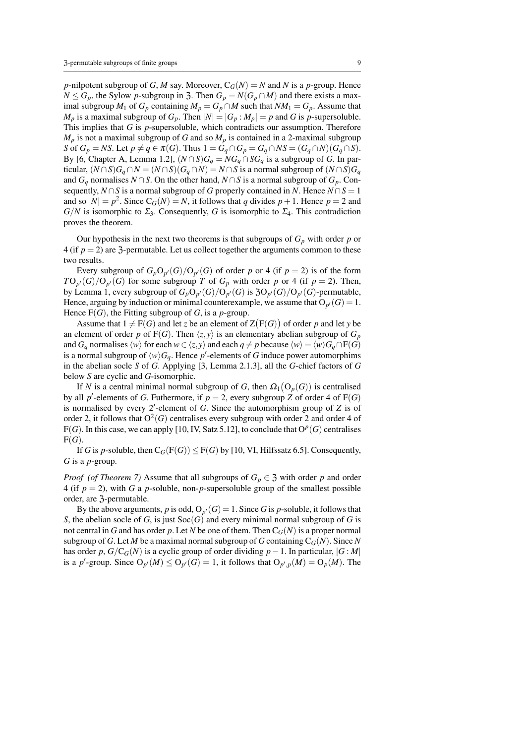*p*-nilpotent subgroup of *G*, *M* say. Moreover,  $C_G(N) = N$  and *N* is a *p*-group. Hence *N* ≤ *G*<sub>*p*</sub>, the Sylow *p*-subgroup in 3. Then *G*<sub>*p*</sub> = *N*(*G*<sub>*p*</sub> ∩ *M*) and there exists a maximal subgroup *M*<sub>1</sub> of *G*<sub>*p*</sub> containing *M*<sub>*p*</sub> = *G*<sub>*p*</sub>  $\cap$  *M* such that *NM*<sub>1</sub> = *G*<sub>*p*</sub>. Assume that  $M_p$  is a maximal subgroup of  $G_p$ . Then  $|N| = |G_p : M_p| = p$  and *G* is *p*-supersoluble. This implies that *G* is *p*-supersoluble, which contradicts our assumption. Therefore  $M_p$  is not a maximal subgroup of *G* and so  $M_p$  is contained in a 2-maximal subgroup *S* of  $G_p = NS$ . Let  $p \neq q \in \pi(G)$ . Thus  $1 = G_q \cap G_p = G_q \cap NS = (G_q \cap N)(G_q \cap S)$ . By [6, Chapter A, Lemma 1.2],  $(N \cap S)G_q = NG_q \cap SG_q$  is a subgroup of *G*. In particular,  $(N \cap S)G_q \cap N = (N \cap S)(G_q \cap N) = N \cap S$  is a normal subgroup of  $(N \cap S)G_q$ and  $G_q$  normalises  $N \cap S$ . On the other hand,  $N \cap S$  is a normal subgroup of  $G_p$ . Consequently, *N* ∩*S* is a normal subgroup of *G* properly contained in *N*. Hence  $N \cap S = 1$ and so  $|N| = p^2$ . Since  $C_G(N) = N$ , it follows that *q* divides  $p + 1$ . Hence  $p = 2$  and  $G/N$  is isomorphic to  $\Sigma_3$ . Consequently, *G* is isomorphic to  $\Sigma_4$ . This contradiction proves the theorem.

Our hypothesis in the next two theorems is that subgroups of  $G_p$  with order  $p$  or 4 (if  $p = 2$ ) are 3-permutable. Let us collect together the arguments common to these two results.

Every subgroup of  $G_p O_{p'}(G)/O_{p'}(G)$  of order *p* or 4 (if  $p = 2$ ) is of the form  $T\text{O}_{p'}(G)/\text{O}_{p'}(G)$  for some subgroup *T* of  $G_p$  with order *p* or 4 (if *p* = 2). Then, by Lemma 1, every subgroup of  $G_pO_{p'}(G)/O_{p'}(G)$  is  $3O_{p'}(G)/O_{p'}(G)$ -permutable, Hence, arguing by induction or minimal counterexample, we assume that  $O_{p'}(G) = 1$ . Hence  $F(G)$ , the Fitting subgroup of *G*, is a *p*-group.

Assume that  $1 \neq F(G)$  and let *z* be an element of  $Z(F(G))$  of order *p* and let *y* be an element of order *p* of F(*G*). Then  $\langle z, y \rangle$  is an elementary abelian subgroup of  $G_p$ and *G*<sub>*q*</sub> normalises  $\langle w \rangle$  for each  $w \in \langle z, y \rangle$  and each  $q \neq p$  because  $\langle w \rangle = \langle w \rangle G_q \cap F(G)$ is a normal subgroup of  $\langle w \rangle G_q$ . Hence p'-elements of *G* induce power automorphims in the abelian socle *S* of *G*. Applying [3, Lemma 2.1.3], all the *G*-chief factors of *G* below *S* are cyclic and *G*-isomorphic.

If *N* is a central minimal normal subgroup of *G*, then  $\Omega_1(O_p(G))$  is centralised by all p'-elements of *G*. Futhermore, if  $p = 2$ , every subgroup *Z* of order 4 of F(*G*) is normalised by every 2'-element of *G*. Since the automorphism group of *Z* is of order 2, it follows that  $O^2(G)$  centralises every subgroup with order 2 and order 4 of  $F(G)$ . In this case, we can apply [10, IV, Satz 5.12], to conclude that  $O^p(G)$  centralises  $F(G)$ .

If *G* is *p*-soluble, then  $C_G(F(G)) \leq F(G)$  by [10, VI, Hilfssatz 6.5]. Consequently, *G* is a *p*-group.

*Proof* (of Theorem 7) Assume that all subgroups of  $G_p \in \mathfrak{Z}$  with order *p* and order 4 (if  $p = 2$ ), with G a p-soluble, non-p-supersoluble group of the smallest possible order, are Z-permutable.

By the above arguments,  $p$  is odd,  $O_{p'}(G) = 1$ . Since  $G$  is  $p$ -soluble, it follows that *S*, the abelian socle of *G*, is just  $Soc(G)$  and every minimal normal subgroup of *G* is not central in *G* and has order *p*. Let *N* be one of them. Then  $C_G(N)$  is a proper normal subgroup of *G*. Let *M* be a maximal normal subgroup of *G* containing  $C_G(N)$ . Since *N* has order *p*,  $G/C_G(N)$  is a cyclic group of order dividing *p*−1. In particular,  $|G : M|$ is a *p*'-group. Since  $O_{p'}(M) \leq O_{p'}(G) = 1$ , it follows that  $O_{p',p}(M) = O_p(M)$ . The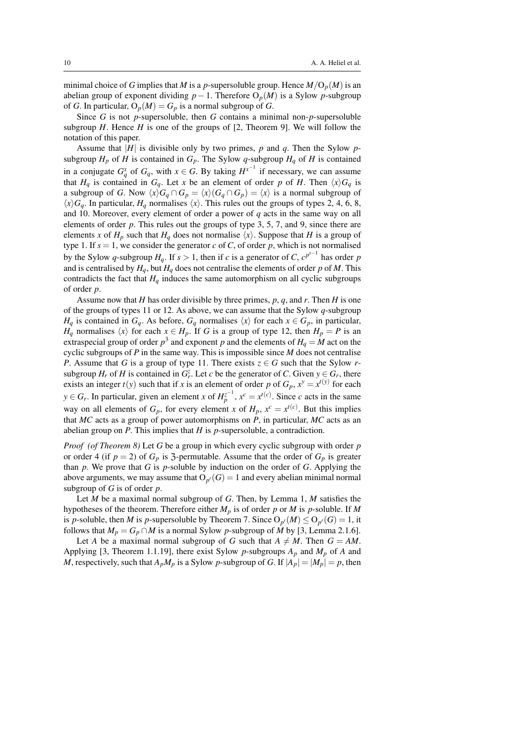minimal choice of *G* implies that *M* is a *p*-supersoluble group. Hence  $M/O_p(M)$  is an abelian group of exponent dividing  $p - 1$ . Therefore  $O_p(M)$  is a Sylow *p*-subgroup of *G*. In particular,  $O_p(M) = G_p$  is a normal subgroup of *G*.

Since *G* is not *p*-supersoluble, then *G* contains a minimal non-*p*-supersoluble subgroup  $H$ . Hence  $H$  is one of the groups of  $[2,$  Theorem 9]. We will follow the notation of this paper.

Assume that  $|H|$  is divisible only by two primes, p and q. Then the Sylow psubgroup  $H_p$  of  $H$  is contained in  $G_p$ . The Sylow  $q$ -subgroup  $H_q$  of  $H$  is contained in a conjugate  $G_q^x$  of  $G_q$ , with  $x \in G$ . By taking  $H^{x^{-1}}$  if necessary, we can assume that  $H_q$  is contained in  $G_q$ . Let *x* be an element of order *p* of *H*. Then  $\langle x \rangle G_q$  is a subgroup of *G*. Now  $\langle x \rangle G_q \cap G_p = \langle x \rangle (G_q \cap G_p) = \langle x \rangle$  is a normal subgroup of  $\langle x \rangle$ *G<sub>q</sub>*. In particular, *H<sub>q</sub>* normalises  $\langle x \rangle$ . This rules out the groups of types 2, 4, 6, 8, and 10. Moreover, every element of order a power of *q* acts in the same way on all elements of order *p*. This rules out the groups of type 3, 5, 7, and 9, since there are elements *x* of  $H_p$  such that  $H_q$  does not normalise  $\langle x \rangle$ . Suppose that *H* is a group of type 1. If  $s = 1$ , we consider the generator  $c$  of  $C$ , of order  $p$ , which is not normalised by the Sylow *q*-subgroup *H<sub>q</sub>*. If *s* > 1, then if *c* is a generator of *C*,  $c^{p^{s-1}}$  has order *p* and is centralised by  $H_q$ , but  $H_q$  does not centralise the elements of order *p* of *M*. This contradicts the fact that  $H_q$  induces the same automorphism on all cyclic subgroups of order *p*.

Assume now that *H* has order divisible by three primes, *p*, *q*, and *r*. Then *H* is one of the groups of types 11 or 12. As above, we can assume that the Sylow *q*-subgroup *H*<sub>q</sub> is contained in *G*<sub>q</sub>. As before, *G*<sub>q</sub> normalises  $\langle x \rangle$  for each  $x \in G_p$ , in particular, *H<sub>q</sub>* normalises  $\langle x \rangle$  for each  $x \in H_p$ . If *G* is a group of type 12, then  $H_p = P$  is an extraspecial group of order  $p^3$  and exponent *p* and the elements of  $H_q = M$  act on the cyclic subgroups of *P* in the same way. This is impossible since *M* does not centralise *P*. Assume that *G* is a group of type 11. There exists  $z \in G$  such that the Sylow *r*subgroup  $H_r$  of  $H$  is contained in  $G_r^z$ . Let  $c$  be the generator of  $C$ . Given  $y \in G_r$ , there exists an integer  $t(y)$  such that if *x* is an element of order *p* of  $G_p$ ,  $x^y = x^{t(y)}$  for each *y* ∈ *G<sub>r</sub>*. In particular, given an element *x* of  $H_p^{z^{-1}}$ ,  $x^c = x^{t(c)}$ . Since *c* acts in the same way on all elements of  $G_p$ , for every element *x* of  $H_p$ ,  $x^c = x^{t(c)}$ . But this implies that *MC* acts as a group of power automorphisms on *P*, in particular, *MC* acts as an abelian group on *P*. This implies that *H* is *p*-supersoluble, a contradiction.

*Proof (of Theorem 8)* Let *G* be a group in which every cyclic subgroup with order *p* or order 4 (if  $p = 2$ ) of  $G_p$  is 3-permutable. Assume that the order of  $G_p$  is greater than *p*. We prove that *G* is *p*-soluble by induction on the order of *G*. Applying the above arguments, we may assume that  $O_{p'}(G) = 1$  and every abelian minimal normal subgroup of *G* is of order *p*.

Let *M* be a maximal normal subgroup of *G*. Then, by Lemma 1, *M* satisfies the hypotheses of the theorem. Therefore either *M<sup>p</sup>* is of order *p* or *M* is *p*-soluble. If *M* is *p*-soluble, then *M* is *p*-supersoluble by Theorem 7. Since  $O_{p'}(M) \leq O_{p'}(G) = 1$ , it follows that  $M_p = G_p \cap M$  is a normal Sylow *p*-subgroup of *M* by [3, Lemma 2.1.6].

Let *A* be a maximal normal subgroup of *G* such that  $A \neq M$ . Then  $G = AM$ . Applying [3, Theorem 1.1.19], there exist Sylow *p*-subgroups *A<sup>p</sup>* and *M<sup>p</sup>* of *A* and *M*, respectively, such that  $A_pM_p$  is a Sylow *p*-subgroup of *G*. If  $|A_p| = |M_p| = p$ , then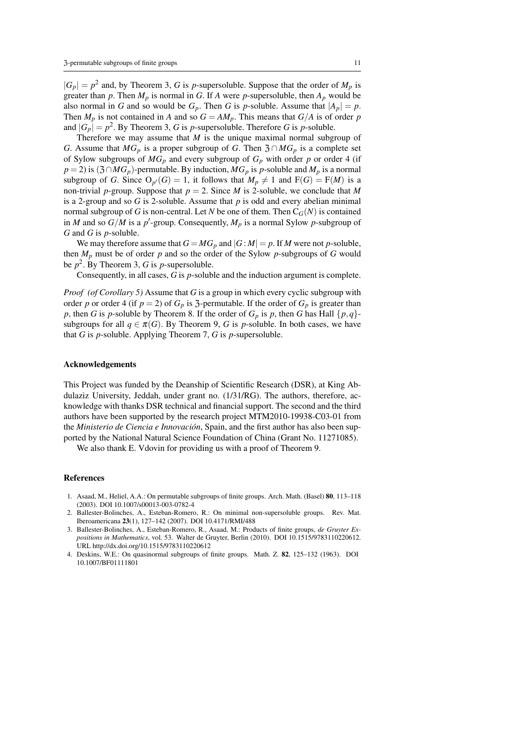$|G_p| = p^2$  and, by Theorem 3, *G* is *p*-supersoluble. Suppose that the order of  $M_p$  is greater than p. Then  $M_p$  is normal in G. If A were p-supersoluble, then  $A_p$  would be also normal in *G* and so would be  $G_p$ . Then *G* is *p*-soluble. Assume that  $|A_p| = p$ . Then  $M_p$  is not contained in *A* and so  $G = AM_p$ . This means that  $G/A$  is of order *p* and  $|G_p| = p^2$ . By Theorem 3, G is *p*-supersoluble. Therefore G is *p*-soluble.

Therefore we may assume that *M* is the unique maximal normal subgroup of *G*. Assume that  $MG_p$  is a proper subgroup of *G*. Then  $\mathfrak{Z} \cap MG_p$  is a complete set of Sylow subgroups of  $MG_p$  and every subgroup of  $G_p$  with order *p* or order 4 (if  $p = 2$ ) is  $(3 \cap MG_p)$ -permutable. By induction,  $MG_p$  is *p*-soluble and  $M_p$  is a normal subgroup of *G*. Since  $O_{p'}(G) = 1$ , it follows that  $M_p \neq 1$  and  $F(G) = F(M)$  is a non-trivial *p*-group. Suppose that  $p = 2$ . Since *M* is 2-soluble, we conclude that *M* is a 2-group and so  $G$  is 2-soluble. Assume that  $p$  is odd and every abelian minimal normal subgroup of *G* is non-central. Let *N* be one of them. Then  $C_G(N)$  is contained in *M* and so  $G/M$  is a *p*'-group. Consequently,  $M_p$  is a normal Sylow *p*-subgroup of *G* and *G* is *p*-soluble.

We may therefore assume that  $G = MG_p$  and  $|G : M| = p$ . If *M* were not *p*-soluble, then *M<sup>p</sup>* must be of order *p* and so the order of the Sylow *p*-subgroups of *G* would be *p* 2 . By Theorem 3, *G* is *p*-supersoluble.

Consequently, in all cases, *G* is *p*-soluble and the induction argument is complete.

*Proof (of Corollary 5)* Assume that *G* is a group in which every cyclic subgroup with order *p* or order 4 (if  $p = 2$ ) of  $G_p$  is 3-permutable. If the order of  $G_p$  is greater than *p*, then *G* is *p*-soluble by Theorem 8. If the order of  $G_p$  is *p*, then *G* has Hall  $\{p,q\}$ subgroups for all  $q \in \pi(G)$ . By Theorem 9, *G* is *p*-soluble. In both cases, we have that *G* is *p*-soluble. Applying Theorem 7, *G* is *p*-supersoluble.

#### Acknowledgements

This Project was funded by the Deanship of Scientific Research (DSR), at King Abdulaziz University, Jeddah, under grant no. (1/31/RG). The authors, therefore, acknowledge with thanks DSR technical and financial support. The second and the third authors have been supported by the research project MTM2010-19938-C03-01 from the *Ministerio de Ciencia e Innovación*, Spain, and the first author has also been supported by the National Natural Science Foundation of China (Grant No. 11271085).

We also thank E. Vdovin for providing us with a proof of Theorem 9.

### References

- 1. Asaad, M., Heliel, A.A.: On permutable subgroups of finite groups. Arch. Math. (Basel) 80, 113–118 (2003). DOI 10.1007/s00013-003-0782-4
- 2. Ballester-Bolinches, A., Esteban-Romero, R.: On minimal non-supersoluble groups. Rev. Mat. Iberoamericana 23(1), 127–142 (2007). DOI 10.4171/RMI/488
- 3. Ballester-Bolinches, A., Esteban-Romero, R., Asaad, M.: Products of finite groups, *de Gruyter Expositions in Mathematics*, vol. 53. Walter de Gruyter, Berlin (2010). DOI 10.1515/9783110220612. URL http://dx.doi.org/10.1515/9783110220612
- 4. Deskins, W.E.: On quasinormal subgroups of finite groups. Math. Z. 82, 125–132 (1963). DOI 10.1007/BF01111801